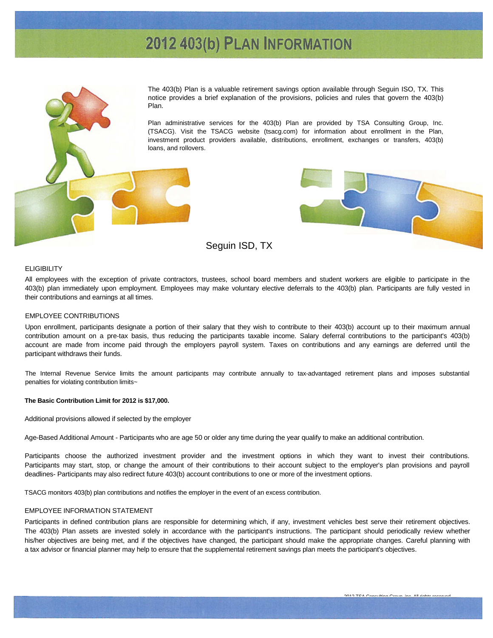# 2012 403(b) PLAN INFORMATION



The 403(b) Plan is a valuable retirement savings option available through Seguin ISO, TX. This notice provides a brief explanation of the provisions, policies and rules that govern the 403(b)

Plan administrative services for the 403(b) Plan are provided by TSA Consulting Group, Inc. (TSACG). Visit the TSACG website (tsacg.com) for information about enrollment in the Plan, investment product providers available, distributions, enrollment, exchanges or transfers, 403(b) loans, and rollovers.



#### **ELIGIBILITY**

All employees with the exception of private contractors, trustees, school board members and student workers are eligible to participate in the 403(b) plan immediately upon employment. Employees may make voluntary elective deferrals to the 403(b) plan. Participants are fully vested in their contributions and earnings at all times.

# EMPLOYEE CONTRIBUTIONS

Upon enrollment, participants designate a portion of their salary that they wish to contribute to their 403(b) account up to their maximum annual contribution amount on a pre-tax basis, thus reducing the participants taxable income. Salary deferral contributions to the participant's 403(b) account are made from income paid through the employers payroll system. Taxes on contributions and any earnings are deferred until the participant withdraws their funds.

The Internal Revenue Service limits the amount participants may contribute annually to tax-advantaged retirement plans and imposes substantial penalties for violating contribution limits~

#### **The Basic Contribution Limit for 2012 is \$17,000.**

Additional provisions allowed if selected by the employer

Age-Based Additional Amount - Participants who are age 50 or older any time during the year qualify to make an additional contribution.

Participants choose the authorized investment provider and the investment options in which they want to invest their contributions. Participants may start, stop, or change the amount of their contributions to their account subject to the employer's plan provisions and payroll deadlines- Participants may also redirect future 403(b) account contributions to one or more of the investment options.

TSACG monitors 403(b) plan contributions and notifies the employer in the event of an excess contribution.

## EMPLOYEE INFORMATION STATEMENT

Participants in defined contribution plans are responsible for determining which, if any, investment vehicles best serve their retirement objectives. The 403(b) Plan assets are invested solely in accordance with the participant's instructions. The participant should periodically review whether his/her objectives are being met, and if the objectives have changed, the participant should make the appropriate changes. Careful planning with a tax advisor or financial planner may help to ensure that the supplemental retirement savings plan meets the participant's objectives.